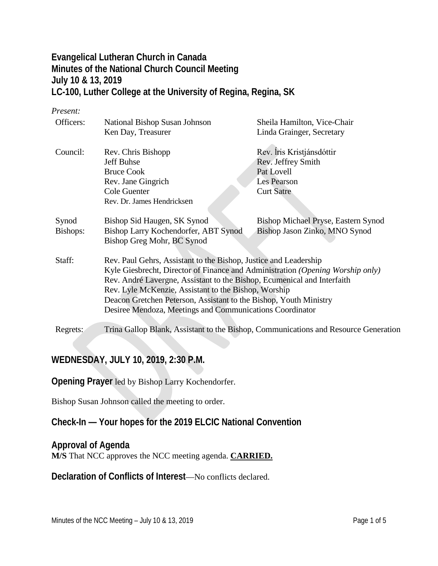# **Evangelical Lutheran Church in Canada Minutes of the National Church Council Meeting July 10 & 13, 2019 LC-100, Luther College at the University of Regina, Regina, SK**

#### *Present:*

| Officers: | National Bishop Susan Johnson                                                       | Sheila Hamilton, Vice-Chair         |  |
|-----------|-------------------------------------------------------------------------------------|-------------------------------------|--|
|           | Ken Day, Treasurer                                                                  | Linda Grainger, Secretary           |  |
| Council:  | Rev. Chris Bishopp                                                                  | Rev. Íris Kristjánsdóttir           |  |
|           | Jeff Buhse                                                                          | Rev. Jeffrey Smith                  |  |
|           | <b>Bruce Cook</b>                                                                   | Pat Lovell                          |  |
|           | Rev. Jane Gingrich                                                                  | Les Pearson                         |  |
|           | Cole Guenter                                                                        | <b>Curt Satre</b>                   |  |
|           | Rev. Dr. James Hendricksen                                                          |                                     |  |
| Synod     | Bishop Sid Haugen, SK Synod                                                         | Bishop Michael Pryse, Eastern Synod |  |
| Bishops:  | Bishop Larry Kochendorfer, ABT Synod                                                | Bishop Jason Zinko, MNO Synod       |  |
|           | Bishop Greg Mohr, BC Synod                                                          |                                     |  |
| Staff:    | Rev. Paul Gehrs, Assistant to the Bishop, Justice and Leadership                    |                                     |  |
|           | Kyle Giesbrecht, Director of Finance and Administration (Opening Worship only)      |                                     |  |
|           | Rev. André Lavergne, Assistant to the Bishop, Ecumenical and Interfaith             |                                     |  |
|           | Rev. Lyle McKenzie, Assistant to the Bishop, Worship                                |                                     |  |
|           | Deacon Gretchen Peterson, Assistant to the Bishop, Youth Ministry                   |                                     |  |
|           | Desiree Mendoza, Meetings and Communications Coordinator                            |                                     |  |
| Regrets:  | Trina Gallop Blank, Assistant to the Bishop, Communications and Resource Generation |                                     |  |

# **WEDNESDAY, JULY 10, 2019, 2:30 P.M.**

**Opening Prayer** led by Bishop Larry Kochendorfer.

Bishop Susan Johnson called the meeting to order.

# **Check-In — Your hopes for the 2019 ELCIC National Convention**

## **Approval of Agenda**

**M/S** That NCC approves the NCC meeting agenda. **CARRIED.**

**Declaration of Conflicts of Interest**—No conflicts declared.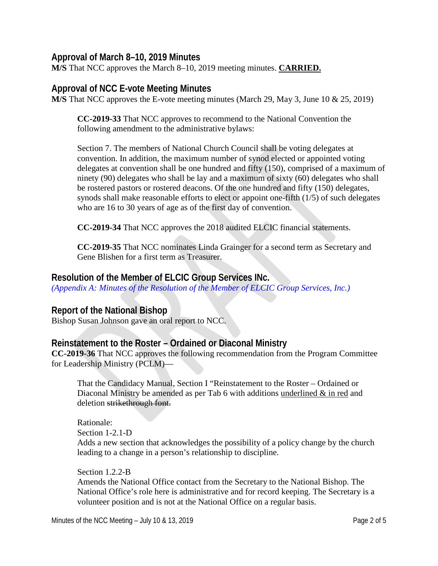### **Approval of March 8–10, 2019 Minutes**

**M/S** That NCC approves the March 8–10, 2019 meeting minutes. **CARRIED.**

### **Approval of NCC E-vote Meeting Minutes**

**M/S** That NCC approves the E-vote meeting minutes (March 29, May 3, June 10 & 25, 2019)

**CC-2019-33** That NCC approves to recommend to the National Convention the following amendment to the administrative bylaws:

Section 7. The members of National Church Council shall be voting delegates at convention. In addition, the maximum number of synod elected or appointed voting delegates at convention shall be one hundred and fifty (150), comprised of a maximum of ninety (90) delegates who shall be lay and a maximum of sixty (60) delegates who shall be rostered pastors or rostered deacons. Of the one hundred and fifty (150) delegates, synods shall make reasonable efforts to elect or appoint one-fifth (1/5) of such delegates who are 16 to 30 years of age as of the first day of convention.

**CC-2019-34** That NCC approves the 2018 audited ELCIC financial statements.

**CC-2019-35** That NCC nominates Linda Grainger for a second term as Secretary and Gene Blishen for a first term as Treasurer.

### **Resolution of the Member of ELCIC Group Services INc.**

*(Appendix A: Minutes of the Resolution of the Member of ELCIC Group Services, Inc.)*

## **Report of the National Bishop**

Bishop Susan Johnson gave an oral report to NCC.

## **Reinstatement to the Roster – Ordained or Diaconal Ministry**

**CC-2019-36** That NCC approves the following recommendation from the Program Committee for Leadership Ministry (PCLM)—

That the Candidacy Manual, Section I "Reinstatement to the Roster – Ordained or Diaconal Ministry be amended as per Tab 6 with additions underlined & in red and deletion strikethrough font.

Rationale: Section 1-2.1-D Adds a new section that acknowledges the possibility of a policy change by the church leading to a change in a person's relationship to discipline.

Section 1.2.2-B Amends the National Office contact from the Secretary to the National Bishop. The National Office's role here is administrative and for record keeping. The Secretary is a volunteer position and is not at the National Office on a regular basis.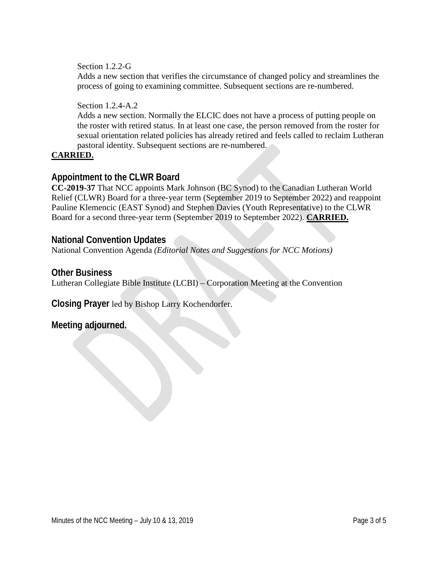Section 1.2.2-G

Adds a new section that verifies the circumstance of changed policy and streamlines the process of going to examining committee. Subsequent sections are re-numbered.

Section 1.2.4-A.2

Adds a new section. Normally the ELCIC does not have a process of putting people on the roster with retired status. In at least one case, the person removed from the roster for sexual orientation related policies has already retired and feels called to reclaim Lutheran pastoral identity. Subsequent sections are re-numbered.

#### **CARRIED.**

## **Appointment to the CLWR Board**

**CC-2019-37** That NCC appoints Mark Johnson (BC Synod) to the Canadian Lutheran World Relief (CLWR) Board for a three-year term (September 2019 to September 2022) and reappoint Pauline Klemencic (EAST Synod) and Stephen Davies (Youth Representative) to the CLWR Board for a second three-year term (September 2019 to September 2022). **CARRIED.**

### **National Convention Updates**

National Convention Agenda *(Editorial Notes and Suggestions for NCC Motions)*

#### **Other Business**

Lutheran Collegiate Bible Institute (LCBI) – Corporation Meeting at the Convention

**Closing Prayer** led by Bishop Larry Kochendorfer.

## **Meeting adjourned.**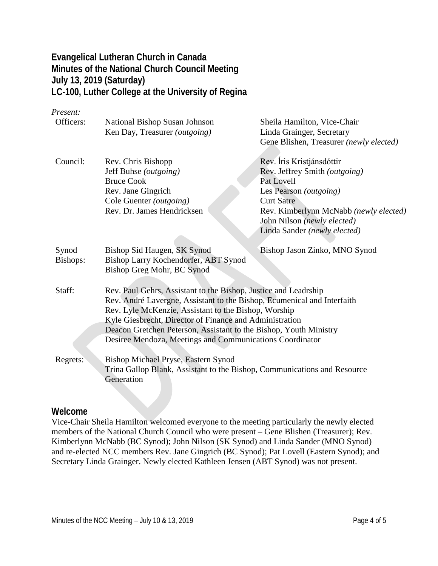## **Evangelical Lutheran Church in Canada Minutes of the National Church Council Meeting July 13, 2019 (Saturday) LC-100, Luther College at the University of Regina**

#### *Present:*

| Officers:         | National Bishop Susan Johnson                                                                                                                                                                                                                                                                                                                                                                  | Sheila Hamilton, Vice-Chair             |
|-------------------|------------------------------------------------------------------------------------------------------------------------------------------------------------------------------------------------------------------------------------------------------------------------------------------------------------------------------------------------------------------------------------------------|-----------------------------------------|
|                   | Ken Day, Treasurer (outgoing)                                                                                                                                                                                                                                                                                                                                                                  | Linda Grainger, Secretary               |
|                   |                                                                                                                                                                                                                                                                                                                                                                                                | Gene Blishen, Treasurer (newly elected) |
| Council:          | Rev. Chris Bishopp                                                                                                                                                                                                                                                                                                                                                                             | Rev. Íris Kristjánsdóttir               |
|                   | Jeff Buhse (outgoing)                                                                                                                                                                                                                                                                                                                                                                          | Rev. Jeffrey Smith (outgoing)           |
|                   | <b>Bruce Cook</b>                                                                                                                                                                                                                                                                                                                                                                              | Pat Lovell                              |
|                   | Rev. Jane Gingrich                                                                                                                                                                                                                                                                                                                                                                             | Les Pearson (outgoing)                  |
|                   | Cole Guenter ( <i>outgoing</i> )                                                                                                                                                                                                                                                                                                                                                               | <b>Curt Satre</b>                       |
|                   | Rev. Dr. James Hendricksen                                                                                                                                                                                                                                                                                                                                                                     | Rev. Kimberlynn McNabb (newly elected)  |
|                   |                                                                                                                                                                                                                                                                                                                                                                                                | John Nilson (newly elected)             |
|                   |                                                                                                                                                                                                                                                                                                                                                                                                | Linda Sander (newly elected)            |
| Synod<br>Bishops: | Bishop Sid Haugen, SK Synod<br>Bishop Larry Kochendorfer, ABT Synod<br>Bishop Greg Mohr, BC Synod                                                                                                                                                                                                                                                                                              | Bishop Jason Zinko, MNO Synod           |
| Staff:            | Rev. Paul Gehrs, Assistant to the Bishop, Justice and Leadrship<br>Rev. André Lavergne, Assistant to the Bishop, Ecumenical and Interfaith<br>Rev. Lyle McKenzie, Assistant to the Bishop, Worship<br>Kyle Giesbrecht, Director of Finance and Administration<br>Deacon Gretchen Peterson, Assistant to the Bishop, Youth Ministry<br>Desiree Mendoza, Meetings and Communications Coordinator |                                         |
| Regrets:          | Bishop Michael Pryse, Eastern Synod<br>Trina Gallop Blank, Assistant to the Bishop, Communications and Resource<br>Generation                                                                                                                                                                                                                                                                  |                                         |

#### **Welcome**

Vice-Chair Sheila Hamilton welcomed everyone to the meeting particularly the newly elected members of the National Church Council who were present – Gene Blishen (Treasurer); Rev. Kimberlynn McNabb (BC Synod); John Nilson (SK Synod) and Linda Sander (MNO Synod) and re-elected NCC members Rev. Jane Gingrich (BC Synod); Pat Lovell (Eastern Synod); and Secretary Linda Grainger. Newly elected Kathleen Jensen (ABT Synod) was not present.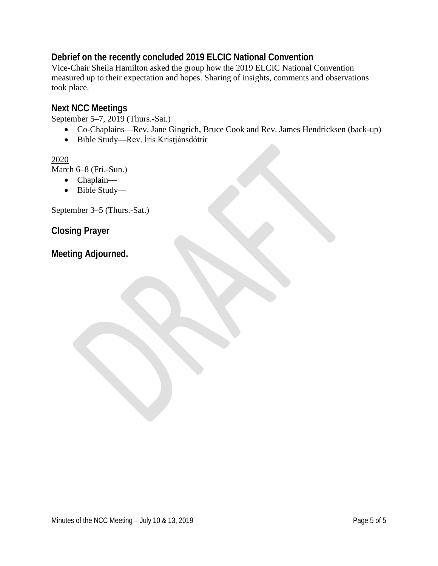# **Debrief on the recently concluded 2019 ELCIC National Convention**

Vice-Chair Sheila Hamilton asked the group how the 2019 ELCIC National Convention measured up to their expectation and hopes. Sharing of insights, comments and observations took place.

## **Next NCC Meetings**

September 5–7, 2019 (Thurs.-Sat.)

- Co-Chaplains—Rev. Jane Gingrich, Bruce Cook and Rev. James Hendricksen (back-up)
- Bible Study—Rev. ĺris Kristjánsdóttir

### 2020

March 6–8 (Fri.-Sun.)

- Chaplain—
- Bible Study—

September 3–5 (Thurs.-Sat.)

**Closing Prayer**

**Meeting Adjourned.**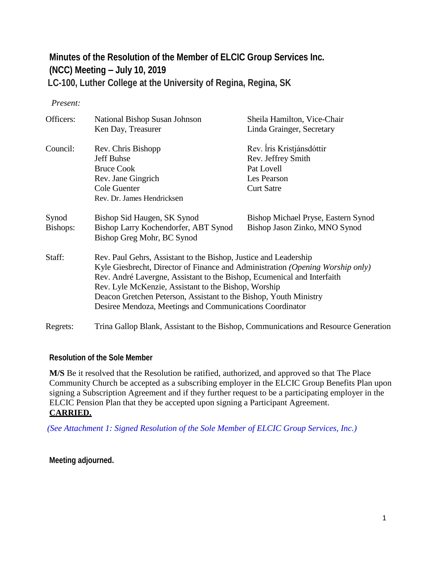# **Minutes of the Resolution of the Member of ELCIC Group Services Inc. (NCC) Meeting – July 10, 2019** **LC-100, Luther College at the University of Regina, Regina, SK**

#### *Present:*

| Officers: | National Bishop Susan Johnson                                                       | Sheila Hamilton, Vice-Chair         |  |
|-----------|-------------------------------------------------------------------------------------|-------------------------------------|--|
|           | Ken Day, Treasurer                                                                  | Linda Grainger, Secretary           |  |
| Council:  | Rev. Chris Bishopp                                                                  | Rev. Íris Kristjánsdóttir           |  |
|           | Jeff Buhse                                                                          | Rev. Jeffrey Smith                  |  |
|           | <b>Bruce Cook</b>                                                                   | Pat Lovell                          |  |
|           | Rev. Jane Gingrich                                                                  | Les Pearson                         |  |
|           | Cole Guenter                                                                        | <b>Curt Satre</b>                   |  |
|           | Rev. Dr. James Hendricksen                                                          |                                     |  |
| Synod     | Bishop Sid Haugen, SK Synod                                                         | Bishop Michael Pryse, Eastern Synod |  |
| Bishops:  | Bishop Larry Kochendorfer, ABT Synod                                                | Bishop Jason Zinko, MNO Synod       |  |
|           | Bishop Greg Mohr, BC Synod                                                          |                                     |  |
| Staff:    | Rev. Paul Gehrs, Assistant to the Bishop, Justice and Leadership                    |                                     |  |
|           | Kyle Giesbrecht, Director of Finance and Administration (Opening Worship only)      |                                     |  |
|           | Rev. André Lavergne, Assistant to the Bishop, Ecumenical and Interfaith             |                                     |  |
|           | Rev. Lyle McKenzie, Assistant to the Bishop, Worship                                |                                     |  |
|           | Deacon Gretchen Peterson, Assistant to the Bishop, Youth Ministry                   |                                     |  |
|           | Desiree Mendoza, Meetings and Communications Coordinator                            |                                     |  |
| Regrets:  | Trina Gallop Blank, Assistant to the Bishop, Communications and Resource Generation |                                     |  |

#### **Resolution of the Sole Member**

**M/S** Be it resolved that the Resolution be ratified, authorized, and approved so that The Place Community Church be accepted as a subscribing employer in the ELCIC Group Benefits Plan upon signing a Subscription Agreement and if they further request to be a participating employer in the ELCIC Pension Plan that they be accepted upon signing a Participant Agreement. **CARRIED.**

 *(See Attachment 1: Signed Resolution of the Sole Member of ELCIC Group Services, Inc.)*

**Meeting adjourned.**